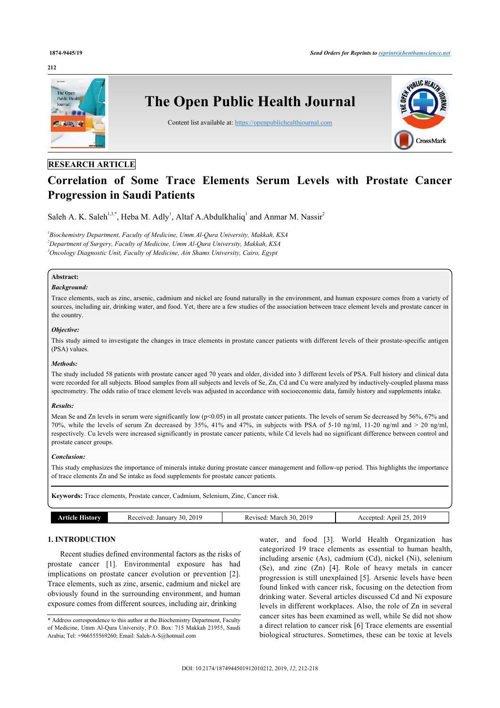#### **212**



# **RESEARCH ARTICLE**

# **Correlation of Some Trace Elements Serum Levels with Prostate Cancer Progression in Saudi Patients**

Saleh A. K. Saleh<sup>[1](#page-0-0)[,3](#page-0-1)[,\\*](#page-0-2)</sup>, Heba M. Adly<sup>1</sup>, Altaf A. Abdulkhaliq<sup>1</sup> and Anmar M. Nassir<sup>[2](#page--1-0)</sup>

<span id="page-0-1"></span><span id="page-0-0"></span>*1 Biochemistry Department, Faculty of Medicine, Umm Al-Qura University, Makkah, KSA <sup>2</sup>Department of Surgery, Faculty of Medicine, Umm Al-Qura University, Makkah, KSA <sup>3</sup>Oncology Diagnostic Unit, Faculty of Medicine, Ain Shams University, Cairo, Egypt*

## **Abstract:**

#### *Background:*

Trace elements, such as zinc, arsenic, cadmium and nickel are found naturally in the environment, and human exposure comes from a variety of sources, including air, drinking water, and food. Yet, there are a few studies of the association between trace element levels and prostate cancer in the country.

#### *Objective:*

This study aimed to investigate the changes in trace elements in prostate cancer patients with different levels of their prostate-specific antigen (PSA) values.

#### *Methods:*

The study included 58 patients with prostate cancer aged 70 years and older, divided into 3 different levels of PSA. Full history and clinical data were recorded for all subjects. Blood samples from all subjects and levels of Se, Zn, Cd and Cu were analyzed by inductively-coupled plasma mass spectrometry. The odds ratio of trace element levels was adjusted in accordance with socioeconomic data, family history and supplements intake.

#### *Results:*

Mean Se and Zn levels in serum were significantly low (p<0.05) in all prostate cancer patients. The levels of serum Se decreased by 56%, 67% and 70%, while the levels of serum Zn decreased by 35%, 41% and 47%, in subjects with PSA of 5-10 ng/ml, 11-20 ng/ml and > 20 ng/ml, respectively. Cu levels were increased significantly in prostate cancer patients, while Cd levels had no significant difference between control and prostate cancer groups.

#### *Conclusion:*

This study emphasizes the importance of minerals intake during prostate cancer management and follow-up period. This highlights the importance of trace elements Zn and Se intake as food supplements for prostate cancer patients.

**Keywords:** Trace elements, Prostate cancer, Cadmium, Selenium, Zinc, Cancer risk.

| History<br>Armee | . 2019<br>Received: January 30, | 2019<br>Revised: March 30. | 2019<br>April 25.<br>Accepted: |
|------------------|---------------------------------|----------------------------|--------------------------------|
|                  |                                 |                            |                                |

# **1. INTRODUCTION**

Recent studies defined environmental factors as the risks of prostate cancer[[1](#page-5-0)]. Environmental exposure has had implications on prostate cancer evolution or prevention [\[2\]](#page-5-1). Trace elements, such as zinc, arsenic, cadmium and nickel are obviously found in the surrounding environment, and human exposure comes from different sources, including air, drinking

water, and food[[3](#page-5-2)]. World Health Organization has categorized 19 trace elements as essential to human health, including arsenic (As), cadmium (Cd), nickel (Ni), selenium (Se), and zinc (Zn) [\[4](#page-5-3)]. Role of heavy metals in cancer progression is still unexplained [[5\]](#page-5-4). Arsenic levels have been found linked with cancer risk, focusing on the detection from drinking water. Several articles discussed Cd and Ni exposure levels in different workplaces. Also, the role of Zn in several cancer sites has been examined as well, while Se did not show a direct relation to cancer risk [[6](#page-5-5)] Trace elements are essential biological structures. Sometimes, these can be toxic at levels

<span id="page-0-2"></span><sup>\*</sup> Address correspondence to this author at the Biochemistry Department, Faculty of Medicine, Umm Al-Qura University, P.O. Box: 715 Makkah 21955, Saudi Arabia; Tel: +966555569260; Email: [Saleh-A-S@hotmail.com](mailto:Saleh-A-S@hotmail.com)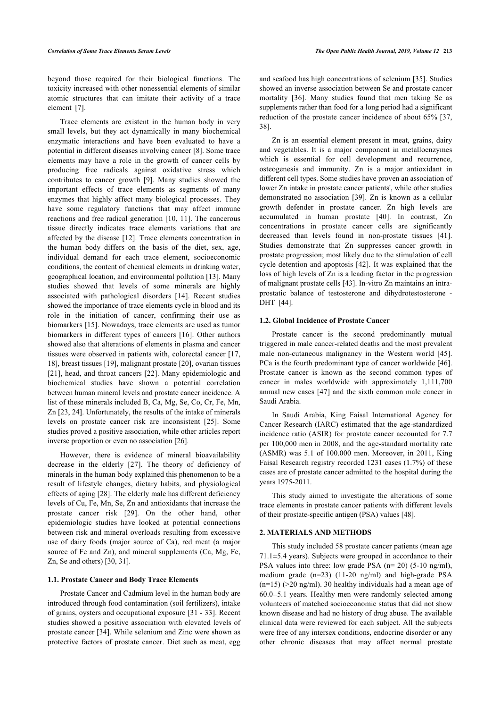beyond those required for their biological functions. The toxicity increased with other nonessential elements of similar atomic structures that can imitate their activity of a trace element [\[7\]](#page-5-6).

Trace elements are existent in the human body in very small levels, but they act dynamically in many biochemical enzymatic interactions and have been evaluated to have a potential in different diseases involving cancer [\[8\]](#page-5-7). Some trace elements may have a role in the growth of cancer cells by producing free radicals against oxidative stress which contributes to cancer growth[[9\]](#page-5-8). Many studies showed the important effects of trace elements as segments of many enzymes that highly affect many biological processes. They have some regulatory functions that may affect immune reactions and free radical generation [[10](#page-5-9), [11\]](#page-5-10). The cancerous tissue directly indicates trace elements variations that are affected by the disease [[12\]](#page-5-11). Trace elements concentration in the human body differs on the basis of the diet, sex, age, individual demand for each trace element, socioeconomic conditions, the content of chemical elements in drinking water, geographical location, and environmental pollution [\[13](#page-5-12)]. Many studies showed that levels of some minerals are highly associated with pathological disorders[[14\]](#page-5-13). Recent studies showed the importance of trace elements cycle in blood and its role in the initiation of cancer, confirming their use as biomarkers [[15](#page-5-14)]. Nowadays, trace elements are used as tumor biomarkers in different types of cancers [\[16\]](#page-5-15). Other authors showed also that alterations of elements in plasma and cancer tissues were observed in patients with, colorectal cancer [[17](#page-5-16), [18\]](#page-5-17), breast tissues [[19\]](#page-5-18), malignant prostate [\[20](#page-5-19)], ovarian tissues [[21\]](#page-5-20), head, and throat cancers [[22](#page-5-21)]. Many epidemiologic and biochemical studies have shown a potential correlation between human mineral levels and prostate cancer incidence. A list of these minerals included B, Ca, Mg, Se, Co, Cr, Fe, Mn, Zn [\[23](#page-5-22), [24\]](#page-5-23). Unfortunately, the results of the intake of minerals levels on prostate cancer risk are inconsistent [\[25](#page-5-24)]. Some studies proved a positive association, while other articles report inverse proportion or even no association [[26\]](#page-5-25).

However, there is evidence of mineral bioavailability decrease in the elderly [\[27\]](#page-5-26). The theory of deficiency of minerals in the human body explained this phenomenon to be a result of lifestyle changes, dietary habits, and physiological effects of aging [[28](#page-5-27)]. The elderly male has different deficiency levels of Cu, Fe, Mn, Se, Zn and antioxidants that increase the prostate cancer risk[[29](#page-5-28)]. On the other hand, other epidemiologic studies have looked at potential connections between risk and mineral overloads resulting from excessive use of dairy foods (major source of Ca), red meat (a major source of Fe and Zn), and mineral supplements (Ca, Mg, Fe, Zn, Se and others) [[30,](#page-5-29) [31](#page-5-30)].

#### **1.1. Prostate Cancer and Body Trace Elements**

Prostate Cancer and Cadmium level in the human body are introduced through food contamination (soil fertilizers), intake of grains, oysters and occupational exposure [[31](#page-5-30) - [33](#page-6-0)]. Recent studies showed a positive association with elevated levels of prostate cancer [\[34](#page-6-1)]. While selenium and Zinc were shown as protective factors of prostate cancer. Diet such as meat, egg

and seafood has high concentrations of selenium [[35\]](#page-6-2). Studies showed an inverse association between Se and prostate cancer mortality [\[36\]](#page-6-3). Many studies found that men taking Se as supplements rather than food for a long period had a significant reduction of the prostate cancer incidence of about 65% [\[37](#page-6-4), [38\]](#page-6-5).

Zn is an essential element present in meat, grains, dairy and vegetables. It is a major component in metalloenzymes which is essential for cell development and recurrence, osteogenesis and immunity. Zn is a major antioxidant in different cell types. Some studies have proven an association of lower Zn intake in prostate cancer patients', while other studies demonstrated no association [\[39\]](#page-6-6). Zn is known as a cellular growth defender in prostate cancer. Zn high levels are accumulated in human prostate [\[40](#page-6-7)]. In contrast, Zn concentrations in prostate cancer cells are significantly decreased than levels found in non-prostate tissues[[41](#page-6-8)]. Studies demonstrate that Zn suppresses cancer growth in prostate progression; most likely due to the stimulation of cell cycle detention and apoptosis [[42](#page-6-9)]. It was explained that the loss of high levels of Zn is a leading factor in the progression of malignant prostate cells [[43\]](#page-6-10). In-vitro Zn maintains an intraprostatic balance of testosterone and dihydrotestosterone - DHT[[44\]](#page-6-11).

#### **1.2. Global Incidence of Prostate Cancer**

Prostate cancer is the second predominantly mutual triggered in male cancer-related deaths and the most prevalent male non-cutaneous malignancy in the Western world[[45](#page-6-12)]. PCa is the fourth predominant type of cancer worldwide [[46](#page-6-13)]. Prostate cancer is known as the second common types of cancer in males worldwide with approximately 1,111,700 annual new cases [[47\]](#page-6-14) and the sixth common male cancer in Saudi Arabia.

In Saudi Arabia, King Faisal International Agency for Cancer Research (IARC) estimated that the age-standardized incidence ratio (ASIR) for prostate cancer accounted for 7.7 per 100,000 men in 2008, and the age-standard mortality rate (ASMR) was 5.1 of 100.000 men. Moreover, in 2011, King Faisal Research registry recorded 1231 cases (1.7%) of these cases are of prostate cancer admitted to the hospital during the years 1975-2011.

This study aimed to investigate the alterations of some trace elements in prostate cancer patients with different levels of their prostate-specific antigen (PSA) values [[48\]](#page-6-15).

#### **2. MATERIALS AND METHODS**

This study included 58 prostate cancer patients (mean age 71.1±5.4 years). Subjects were grouped in accordance to their PSA values into three: low grade PSA (n= 20) (5-10 ng/ml), medium grade (n=23) (11-20 ng/ml) and high-grade PSA  $(n=15)$  ( $>20$  ng/ml). 30 healthy individuals had a mean age of 60.0±5.1 years. Healthy men were randomly selected among volunteers of matched socioeconomic status that did not show known disease and had no history of drug abuse. The available clinical data were reviewed for each subject. All the subjects were free of any intersex conditions, endocrine disorder or any other chronic diseases that may affect normal prostate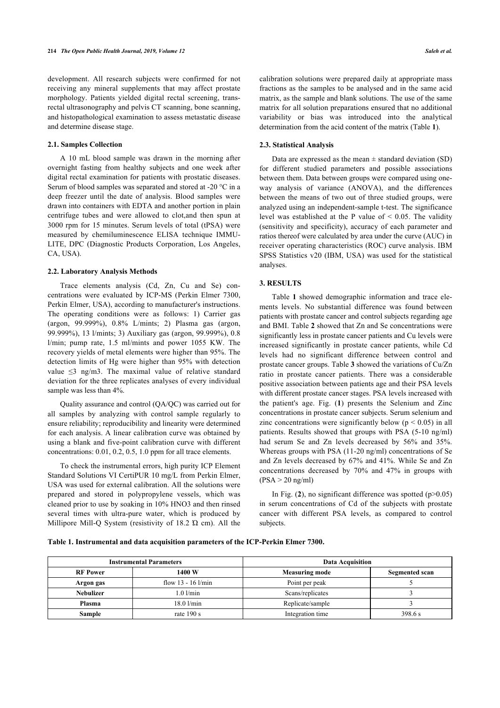development. All research subjects were confirmed for not receiving any mineral supplements that may affect prostate morphology. Patients yielded digital rectal screening, transrectal ultrasonography and pelvis CT scanning, bone scanning, and histopathological examination to assess metastatic disease and determine disease stage.

#### **2.1. Samples Collection**

A 10 mL blood sample was drawn in the morning after overnight fasting from healthy subjects and one week after digital rectal examination for patients with prostatic diseases. Serum of blood samples was separated and stored at -20 °C in a deep freezer until the date of analysis. Blood samples were drawn into containers with EDTA and another portion in plain centrifuge tubes and were allowed to clot,and then spun at 3000 rpm for 15 minutes. Serum levels of total (tPSA) were measured by chemiluminescence ELISA technique IMMU-LITE, DPC (Diagnostic Products Corporation, Los Angeles, CA, USA).

#### **2.2. Laboratory Analysis Methods**

Trace elements analysis (Cd, Zn, Cu and Se) concentrations were evaluated by ICP-MS (Perkin Elmer 7300, Perkin Elmer, USA), according to manufacturer's instructions. The operating conditions were as follows: 1) Carrier gas (argon, 99.999%), 0.8% L/mints; 2) Plasma gas (argon, 99.999%), 13 l/mints; 3) Auxiliary gas (argon, 99.999%), 0.8 l/min; pump rate, 1.5 ml/mints and power 1055 KW. The recovery yields of metal elements were higher than 95%. The detection limits of Hg were higher than 95% with detection value ≤3 ng/m3. The maximal value of relative standard deviation for the three replicates analyses of every individual sample was less than 4%.

Quality assurance and control (QA/QC) was carried out for all samples by analyzing with control sample regularly to ensure reliability; reproducibility and linearity were determined for each analysis. A linear calibration curve was obtained by using a blank and five-point calibration curve with different concentrations: 0.01, 0.2, 0.5, 1.0 ppm for all trace elements.

To check the instrumental errors, high purity ICP Element Standard Solutions VI CertiPUR 10 mg/L from Perkin Elmer, USA was used for external calibration. All the solutions were prepared and stored in polypropylene vessels, which was cleaned prior to use by soaking in 10% HNO3 and then rinsed several times with ultra-pure water, which is produced by Millipore Mill-Q System (resistivity of 18.2 Ώ cm). All the

calibration solutions were prepared daily at appropriate mass fractions as the samples to be analysed and in the same acid matrix, as the sample and blank solutions. The use of the same matrix for all solution preparations ensured that no additional variability or bias was introduced into the analytical determination from the acid content of the matrix (Table **[1](#page-2-0)**).

#### **2.3. Statistical Analysis**

Data are expressed as the mean  $\pm$  standard deviation (SD) for different studied parameters and possible associations between them. Data between groups were compared using oneway analysis of variance (ANOVA), and the differences between the means of two out of three studied groups, were analyzed using an independent-sample t-test. The significance level was established at the P value of < 0.05. The validity (sensitivity and specificity), accuracy of each parameter and ratios thereof were calculated by area under the curve (AUC) in receiver operating characteristics (ROC) curve analysis. IBM SPSS Statistics v20 (IBM, USA) was used for the statistical analyses.

#### **3. RESULTS**

Table **[1](#page-2-0)** showed demographic information and trace elements levels. No substantial difference was found between patients with prostate cancer and control subjects regarding age and BMI. Table **[2](#page-2-1)** showed that Zn and Se concentrations were significantly less in prostate cancer patients and Cu levels were increased significantly in prostate cancer patients, while Cd levels had no significant difference between control and prostate cancer groups. Table **[3](#page-3-0)** showed the variations of Cu/Zn ratio in prostate cancer patients. There was a considerable positive association between patients age and their PSA levels with different prostate cancer stages. PSA levels increased with the patient's age. Fig. (**[1](#page-3-1)**) presents the Selenium and Zinc concentrations in prostate cancer subjects. Serum selenium and zinc concentrations were significantly below ( $p \le 0.05$ ) in all patients. Results showed that groups with PSA (5-10 ng/ml) had serum Se and Zn levels decreased by 56% and 35%. Whereas groups with PSA (11-20 ng/ml) concentrations of Se and Zn levels decreased by 67% and 41%. While Se and Zn concentrations decreased by 70% and 47% in groups with  $(PSA > 20$  ng/ml)

In Fig.  $(2)$  $(2)$  $(2)$ , no significant difference was spotted  $(p>0.05)$ in serum concentrations of Cd of the subjects with prostate cancer with different PSA levels, as compared to control subjects.

#### <span id="page-2-0"></span>**Table 1. Instrumental and data acquisition parameters of the ICP-Perkin Elmer 7300.**

<span id="page-2-1"></span>

| <b>Instrumental Parameters</b> |                      | <b>Data Acquisition</b> |                |  |
|--------------------------------|----------------------|-------------------------|----------------|--|
| <b>RF</b> Power                | 1400 W               | <b>Measuring mode</b>   | Segmented scan |  |
| Argon gas                      | flow $13 - 16$ l/min | Point per peak          |                |  |
| <b>Nebulizer</b>               | $1.0$ $l/min$        | Scans/replicates        |                |  |
| Plasma                         | $18.0$ $l/min$       | Replicate/sample        |                |  |
| <b>Sample</b>                  | rate $190 s$         | Integration time        | 398.6 s        |  |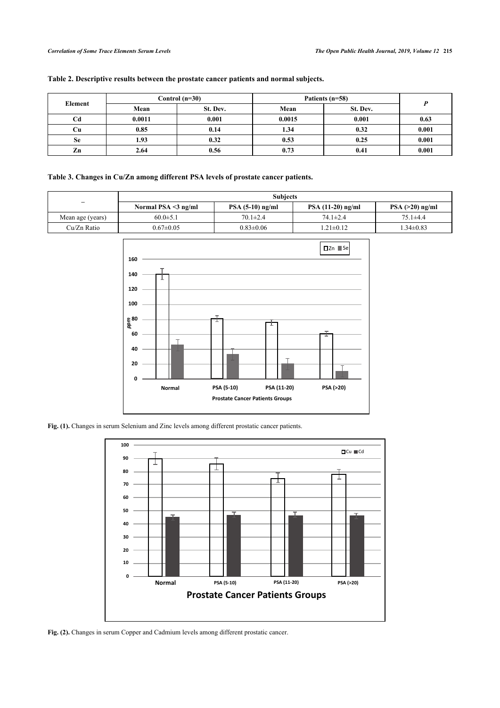| Table 2. Descriptive results between the prostate cancer patients and normal subjects. |  |  |
|----------------------------------------------------------------------------------------|--|--|
|                                                                                        |  |  |

| Element   | Control $(n=30)$ |          | Patients (n=58) |          |       |
|-----------|------------------|----------|-----------------|----------|-------|
|           | Mean             | St. Dev. | Mean            | St. Dev. |       |
| Cd        | 0.0011           | 0.001    | 0.0015          | 0.001    | 0.63  |
| Cш        | 0.85             | 0.14     | 1.34            | 0.32     | 0.001 |
| <b>Se</b> | 1.93             | 0.32     | 0.53            | 0.25     | 0.001 |
| Zn        | 2.64             | 0.56     | 0.73            | 0.41     | 0.001 |

# <span id="page-3-0"></span>**Table 3. Changes in Cu/Zn among different PSA levels of prostate cancer patients.**

<span id="page-3-1"></span>

|                          | <b>Subjects</b>           |                    |                    |                   |  |
|--------------------------|---------------------------|--------------------|--------------------|-------------------|--|
| $\overline{\phantom{0}}$ | Normal PSA $\leq$ 3 ng/ml | $PSA (5-10)$ ng/ml | $PSA(11-20)$ ng/ml | $PSA (>20)$ ng/ml |  |
| Mean age (years)         | $60.0 \pm 5.1$            | $70.1 \pm 2.4$     | $74.1 \pm 2.4$     | 75.1±4.4          |  |
| Cu/Zn Ratio              | $0.67 \pm 0.05$           | $0.83 \pm 0.06$    | $1.21 \pm 0.12$    | $1.34 \pm 0.83$   |  |



<span id="page-3-2"></span>**Fig. (1).** Changes in serum Selenium and Zinc levels among different prostatic cancer patients.



Fig. (2). Changes in serum Copper and Cadmium levels among different prostatic cancer.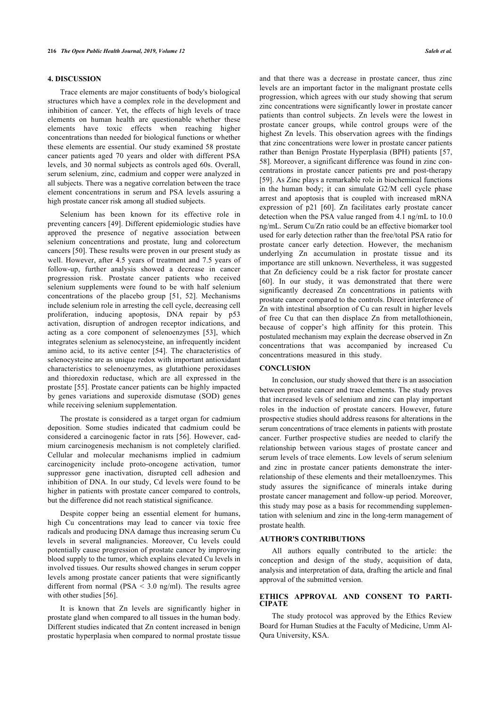### **4. DISCUSSION**

Trace elements are major constituents of body's biological structures which have a complex role in the development and inhibition of cancer. Yet, the effects of high levels of trace elements on human health are questionable whether these elements have toxic effects when reaching higher concentrations than needed for biological functions or whether these elements are essential. Our study examined 58 prostate cancer patients aged 70 years and older with different PSA levels, and 30 normal subjects as controls aged 60s. Overall, serum selenium, zinc, cadmium and copper were analyzed in all subjects. There was a negative correlation between the trace element concentrations in serum and PSA levels assuring a high prostate cancer risk among all studied subjects.

Selenium has been known for its effective role in preventing cancers [[49](#page-6-16)]. Different epidemiologic studies have approved the presence of negative association between selenium concentrations and prostate, lung and colorectum cancers [\[50](#page-6-17)]. These results were proven in our present study as well. However, after 4.5 years of treatment and 7.5 years of follow-up, further analysis showed a decrease in cancer progression risk. Prostate cancer patients who received selenium supplements were found to be with half selenium concentrations of the placebo group[[51](#page-6-18), [52](#page-6-19)]. Mechanisms include selenium role in arresting the cell cycle, decreasing cell proliferation, inducing apoptosis, DNA repair by p53 activation, disruption of androgen receptor indications, and acting as a core component of selenoenzymes[[53](#page-6-20)], which integrates selenium as selenocysteine, an infrequently incident amino acid, to its active center[[54](#page-6-21)]. The characteristics of selenocysteine are as unique redox with important antioxidant characteristics to selenoenzymes, as glutathione peroxidases and thioredoxin reductase, which are all expressed in the prostate [[55\]](#page-6-22). Prostate cancer patients can be highly impacted by genes variations and superoxide dismutase (SOD) genes while receiving selenium supplementation.

The prostate is considered as a target organ for cadmium deposition. Some studies indicated that cadmium could be considered a carcinogenic factor in rats [\[56](#page-6-23)]. However, cadmium carcinogenesis mechanism is not completely clarified. Cellular and molecular mechanisms implied in cadmium carcinogenicity include proto-oncogene activation, tumor suppressor gene inactivation, disrupted cell adhesion and inhibition of DNA. In our study, Cd levels were found to be higher in patients with prostate cancer compared to controls, but the difference did not reach statistical significance.

Despite copper being an essential element for humans, high Cu concentrations may lead to cancer via toxic free radicals and producing DNA damage thus increasing serum Cu levels in several malignancies. Moreover, Cu levels could potentially cause progression of prostate cancer by improving blood supply to the tumor, which explains elevated Cu levels in involved tissues. Our results showed changes in serum copper levels among prostate cancer patients that were significantly different from normal (PSA  $\leq$  3.0 ng/ml). The results agree with other studies [[56\]](#page-6-23).

It is known that Zn levels are significantly higher in prostate gland when compared to all tissues in the human body. Different studies indicated that Zn content increased in benign prostatic hyperplasia when compared to normal prostate tissue

and that there was a decrease in prostate cancer, thus zinc levels are an important factor in the malignant prostate cells progression, which agrees with our study showing that serum zinc concentrations were significantly lower in prostate cancer patients than control subjects. Zn levels were the lowest in prostate cancer groups, while control groups were of the highest Zn levels. This observation agrees with the findings that zinc concentrations were lower in prostate cancer patients rather than Benign Prostate Hyperplasia (BPH) patients [\[57](#page-6-24), [58](#page-6-25)]. Moreover, a significant difference was found in zinc concentrations in prostate cancer patients pre and post-therapy [[59](#page-6-26)]. As Zinc plays a remarkable role in biochemical functions in the human body; it can simulate G2/M cell cycle phase arrest and apoptosis that is coupled with increased mRNA expression of p21 [\[60\]](#page-6-27). Zn facilitates early prostate cancer detection when the PSA value ranged from 4.1 ng/mL to 10.0 ng/mL. Serum Cu/Zn ratio could be an effective biomarker tool used for early detection rather than the free/total PSA ratio for prostate cancer early detection. However, the mechanism underlying Zn accumulation in prostate tissue and its importance are still unknown. Nevertheless, it was suggested that Zn deficiency could be a risk factor for prostate cancer [[60](#page-6-27)]. In our study, it was demonstrated that there were significantly decreased Zn concentrations in patients with prostate cancer compared to the controls. Direct interference of Zn with intestinal absorption of Cu can result in higher levels of free Cu that can then displace Zn from metallothionein, because of copper's high affinity for this protein. This postulated mechanism may explain the decrease observed in Zn concentrations that was accompanied by increased Cu concentrations measured in this study.

#### **CONCLUSION**

In conclusion, our study showed that there is an association between prostate cancer and trace elements. The study proves that increased levels of selenium and zinc can play important roles in the induction of prostate cancers. However, future prospective studies should address reasons for alterations in the serum concentrations of trace elements in patients with prostate cancer. Further prospective studies are needed to clarify the relationship between various stages of prostate cancer and serum levels of trace elements. Low levels of serum selenium and zinc in prostate cancer patients demonstrate the interrelationship of these elements and their metalloenzymes. This study assures the significance of minerals intake during prostate cancer management and follow-up period. Moreover, this study may pose as a basis for recommending supplementation with selenium and zinc in the long-term management of prostate health.

#### **AUTHOR'S CONTRIBUTIONS**

All authors equally contributed to the article: the conception and design of the study, acquisition of data, analysis and interpretation of data, drafting the article and final approval of the submitted version.

#### **ETHICS APPROVAL AND CONSENT TO PARTI-CIPATE**

The study protocol was approved by the Ethics Review Board for Human Studies at the Faculty of Medicine, Umm Al-Qura University, KSA.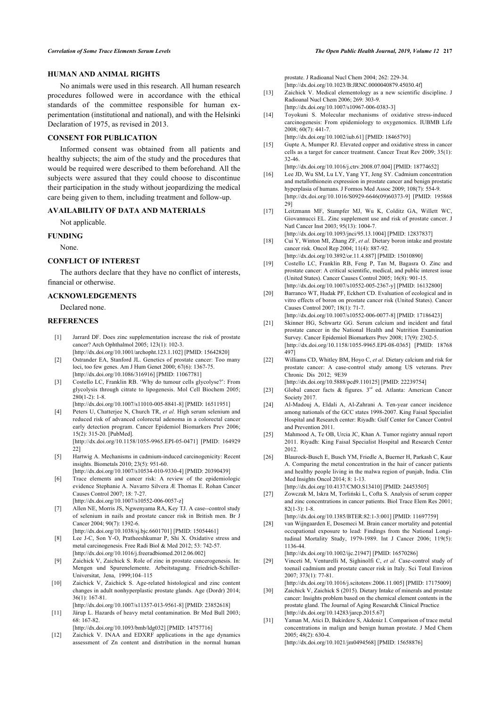#### **HUMAN AND ANIMAL RIGHTS**

<span id="page-5-12"></span>No animals were used in this research. All human research procedures followed were in accordance with the ethical standards of the committee responsible for human experimentation (institutional and national), and with the Helsinki Declaration of 1975, as revised in 2013.

#### <span id="page-5-13"></span>**CONSENT FOR PUBLICATION**

<span id="page-5-15"></span><span id="page-5-14"></span>Informed consent was obtained from all patients and healthy subjects; the aim of the study and the procedures that would be required were described to them beforehand. All the subjects were assured that they could choose to discontinue their participation in the study without jeopardizing the medical care being given to them, including treatment and follow-up.

#### <span id="page-5-16"></span>**AVAILABILITY OF DATA AND MATERIALS**

Not applicable.

### <span id="page-5-17"></span>**FUNDING**

None.

#### <span id="page-5-18"></span>**CONFLICT OF INTEREST**

The authors declare that they have no conflict of interests, financial or otherwise.

#### <span id="page-5-19"></span>**ACKNOWLEDGEMENTS**

# Declared none.

#### <span id="page-5-20"></span><span id="page-5-0"></span>**REFERENCES**

- [1] Jarrard DF. Does zinc supplementation increase the risk of prostate cancer? Arch Ophthalmol 2005; 123(1): 102-3. [\[http://dx.doi.org/10.1001/archopht.123.1.102](http://dx.doi.org/10.1001/archopht.123.1.102)] [PMID: [15642820](http://www.ncbi.nlm.nih.gov/pubmed/15642820)]
- <span id="page-5-21"></span><span id="page-5-1"></span>[2] Ostrander EA, Stanford JL. Genetics of prostate cancer: Too many loci, too few genes. Am J Hum Genet 2000; 67(6): 1367-75. [\[http://dx.doi.org/10.1086/316916](http://dx.doi.org/10.1086/316916)] [PMID: [11067781\]](http://www.ncbi.nlm.nih.gov/pubmed/11067781)
- <span id="page-5-22"></span><span id="page-5-2"></span>[3] Costello LC, Franklin RB. 'Why do tumour cells glycolyse?': From glycolysis through citrate to lipogenesis. Mol Cell Biochem 2005; 280(1-2): 1-8. [\[http://dx.doi.org/10.1007/s11010-005-8841-8](http://dx.doi.org/10.1007/s11010-005-8841-8)] [PMID: [16511951\]](http://www.ncbi.nlm.nih.gov/pubmed/16511951)
- <span id="page-5-23"></span><span id="page-5-3"></span>[4] Peters U, Chatterjee N, Church TR, *et al.* High serum selenium and reduced risk of advanced colorectal adenoma in a colorectal cancer early detection program. Cancer Epidemiol Biomarkers Prev 2006; 15(2): 315-20. [PubMed].

[\[http://dx.doi.org/10.1158/1055-9965.EPI-05-0471](http://dx.doi.org/10.1158/1055-9965.EPI-05-0471)] [PMID: [164929](http://www.ncbi.nlm.nih.gov/pubmed/164929%2022) [22\]](http://www.ncbi.nlm.nih.gov/pubmed/164929%2022)

- <span id="page-5-25"></span><span id="page-5-24"></span><span id="page-5-4"></span>[5] Hartwig A. Mechanisms in cadmium-induced carcinogenicity: Recent insights. Biometals 2010; 23(5): 951-60.
- <span id="page-5-5"></span>[\[http://dx.doi.org/10.1007/s10534-010-9330-4](http://dx.doi.org/10.1007/s10534-010-9330-4)] [PMID: [20390439\]](http://www.ncbi.nlm.nih.gov/pubmed/20390439) [6] Trace elements and cancer risk: A review of the epidemiologic evidence Stephanie A. Navarro Silvera Æ Thomas E. Rohan Cancer Causes Control 2007; 18: 7-27.
- <span id="page-5-26"></span><span id="page-5-6"></span>[\[http://dx.doi.org/10.1007/s10552-006-0057-z\]](http://dx.doi.org/10.1007/s10552-006-0057-z) [7] Allen NE, Morris JS, Ngwenyama RA, Key TJ. A case--control study of selenium in nails and prostate cancer risk in British men. Br J
- <span id="page-5-27"></span>Cancer 2004; 90(7): 1392-6. [\[http://dx.doi.org/10.1038/sj.bjc.6601701](http://dx.doi.org/10.1038/sj.bjc.6601701)] [PMID: [15054461](http://www.ncbi.nlm.nih.gov/pubmed/15054461)]
- <span id="page-5-7"></span>[8] Lee J-C, Son Y-O, Pratheeshkumar P, Shi X. Oxidative stress and metal carcinogenesis. Free Radi Biol & Med 2012; 53: 742-57. [\[http://dx.doi.org/10.1016/j.freeradbiomed.2012.06.002](http://dx.doi.org/10.1016/j.freeradbiomed.2012.06.002)]
- <span id="page-5-28"></span><span id="page-5-8"></span>[9] Zaichick V, Zaichick S. Role of zinc in prostate cancerogenesis. In: Mengen und Spurenelemente. Arbeitstagung. Friedrich-Schiller-Universitat, Jena, 1999;104–115
- <span id="page-5-29"></span><span id="page-5-9"></span>[10] Zaichick V, Zaichick S. Age-related histological and zinc content changes in adult nonhyperplastic prostate glands. Age (Dordr) 2014; 36(1): 167-81.
- <span id="page-5-30"></span><span id="page-5-10"></span>[\[http://dx.doi.org/10.1007/s11357-013-9561-8](http://dx.doi.org/10.1007/s11357-013-9561-8)] [PMID: [23852618\]](http://www.ncbi.nlm.nih.gov/pubmed/23852618) [11] Järup L. Hazards of heavy metal contamination. Br Med Bull 2003; 68: 167-82.
- [\[http://dx.doi.org/10.1093/bmb/ldg032](http://dx.doi.org/10.1093/bmb/ldg032)] [PMID: [14757716\]](http://www.ncbi.nlm.nih.gov/pubmed/14757716)
- <span id="page-5-11"></span>[12] Zaichick V. INAA and EDXRF applications in the age dynamics assessment of Zn content and distribution in the normal human

prostate. J Radioanal Nucl Chem 2004; 262: 229-34. [\[http://dx.doi.org/10.1023/B:JRNC.0000040879.45030.4f\]](http://dx.doi.org/10.1023/B:JRNC.0000040879.45030.4f)

- [13] Zaichick V. Medical elementology as a new scientific discipline. J Radioanal Nucl Chem 2006; 269: 303-9.
- [\[http://dx.doi.org/10.1007/s10967-006-0383-3\]](http://dx.doi.org/10.1007/s10967-006-0383-3) [14] Toyokuni S. Molecular mechanisms of oxidative stress-induced
- carcinogenesis: From epidemiology to oxygenomics. IUBMB Life 2008; 60(7): 441-7. [\[http://dx.doi.org/10.1002/iub.61](http://dx.doi.org/10.1002/iub.61)] [PMID: [18465793\]](http://www.ncbi.nlm.nih.gov/pubmed/18465793)
- [15] Gupte A, Mumper RJ. Elevated copper and oxidative stress in cancer cells as a target for cancer treatment. Cancer Treat Rev 2009; 35(1): 32-46.
- [\[http://dx.doi.org/10.1016/j.ctrv.2008.07.004\]](http://dx.doi.org/10.1016/j.ctrv.2008.07.004) [PMID: [18774652](http://www.ncbi.nlm.nih.gov/pubmed/18774652)] [16] Lee JD, Wu SM, Lu LY, Yang YT, Jeng SY. Cadmium concentration and metallothionein expression in prostate cancer and benign prostatic hyperplasia of humans. J Formos Med Assoc 2009; 108(7): 554-9. [\[http://dx.doi.org/10.1016/S0929-6646\(09\)60373-9](http://dx.doi.org/10.1016/S0929-6646(09)60373-9)] [PMID: [195868](http://www.ncbi.nlm.nih.gov/pubmed/195868%2029) [29\]](http://www.ncbi.nlm.nih.gov/pubmed/195868%2029)
- [17] Leitzmann MF, Stampfer MJ, Wu K, Colditz GA, Willett WC, Giovannucci EL. Zinc supplement use and risk of prostate cancer. J Natl Cancer Inst 2003; 95(13): 1004-7. [\[http://dx.doi.org/10.1093/jnci/95.13.1004](http://dx.doi.org/10.1093/jnci/95.13.1004)] [PMID: [12837837](http://www.ncbi.nlm.nih.gov/pubmed/12837837)]
- [18] Cui Y, Winton MI, Zhang ZF, *et al.* Dietary boron intake and prostate cancer risk. Oncol Rep 2004; 11(4): 887-92. [\[http://dx.doi.org/10.3892/or.11.4.887\]](http://dx.doi.org/10.3892/or.11.4.887) [PMID: [15010890](http://www.ncbi.nlm.nih.gov/pubmed/15010890)]
- [19] Costello LC, Franklin RB, Feng P, Tan M, Bagasra O. Zinc and prostate cancer: A critical scientific, medical, and public interest issue (United States). Cancer Causes Control 2005; 16(8): 901-15. [\[http://dx.doi.org/10.1007/s10552-005-2367-y\]](http://dx.doi.org/10.1007/s10552-005-2367-y) [PMID: [16132800](http://www.ncbi.nlm.nih.gov/pubmed/16132800)]
- [20] Barranco WT, Hudak PF, Eckhert CD. Evaluation of ecological and in vitro effects of boron on prostate cancer risk (United States). Cancer Causes Control 2007; 18(1): 71-7. [\[http://dx.doi.org/10.1007/s10552-006-0077-8\]](http://dx.doi.org/10.1007/s10552-006-0077-8) [PMID: [17186423](http://www.ncbi.nlm.nih.gov/pubmed/17186423)]
- [21] Skinner HG, Schwartz GG. Serum calcium and incident and fatal prostate cancer in the National Health and Nutrition Examination Survey. Cancer Epidemiol Biomarkers Prev 2008; 17(9): 2302-5. [\[http://dx.doi.org/10.1158/1055-9965.EPI-08-0365\]](http://dx.doi.org/10.1158/1055-9965.EPI-08-0365) [PMID: [18768](http://www.ncbi.nlm.nih.gov/pubmed/18768%20497) [497](http://www.ncbi.nlm.nih.gov/pubmed/18768%20497)]
- [22] Williams CD, Whitley BM, Hoyo C, *et al.* Dietary calcium and risk for prostate cancer: A case-control study among US veterans. Prev Chronic Dis 2012; 9E39
- [\[http://dx.doi.org/10.5888/pcd9.110125\]](http://dx.doi.org/10.5888/pcd9.110125) [PMID: [22239754](http://www.ncbi.nlm.nih.gov/pubmed/22239754)]
- [23] Global cancer facts & figures.  $3^{rd}$  ed. Atlanta: American Cancer Society 2017.
- [24] Al-Madouj A, Eldali A, Al-Zahrani A. Ten-year cancer incidence among nationals of the GCC states 1998-2007. King Faisal Specialist Hospital and Research center: Riyadh: Gulf Center for Cancer Control and Prevention 2011.
- [25] Mahmood A, Te OB, Urcia JC, Khan A. Tumor registry annual report 2011. Riyadh: King Faisal Specialist Hospital and Research Center 2012.
- [26] Blaurock-Busch E, Busch YM, Friedle A, Buerner H, Parkash C, Kaur A. Comparing the metal concentration in the hair of cancer patients and healthy people living in the malwa region of punjab, India. Clin Med Insights Oncol 2014; 8: 1-13. [\[http://dx.doi.org/10.4137/CMO.S13410\]](http://dx.doi.org/10.4137/CMO.S13410) [PMID: [24453505](http://www.ncbi.nlm.nih.gov/pubmed/24453505)]
- [27] Zowczak M, Iskra M, Torliński L, Cofta S. Analysis of serum copper and zinc concentrations in cancer patients. Biol Trace Elem Res 2001;  $82(1-3)$ : 1-8.

[\[http://dx.doi.org/10.1385/BTER:82:1-3:001](http://dx.doi.org/10.1385/BTER:82:1-3:001)] [PMID: [11697759\]](http://www.ncbi.nlm.nih.gov/pubmed/11697759) [28] van Wijngaarden E, Dosemeci M. Brain cancer mortality and potential occupational exposure to lead: Findings from the National Longitudinal Mortality Study, 1979-1989. Int J Cancer 2006; 119(5): 1136-44.

[\[http://dx.doi.org/10.1002/ijc.21947\]](http://dx.doi.org/10.1002/ijc.21947) [PMID: [16570286](http://www.ncbi.nlm.nih.gov/pubmed/16570286)]

[29] Vinceti M, Venturelli M, Sighinolfi C, *et al.* Case-control study of toenail cadmium and prostate cancer risk in Italy. Sci Total Environ 2007; 373(1): 77-81.

[\[http://dx.doi.org/10.1016/j.scitotenv.2006.11.005](http://dx.doi.org/10.1016/j.scitotenv.2006.11.005)] [PMID: [17175009\]](http://www.ncbi.nlm.nih.gov/pubmed/17175009)

- [30] Zaichick V, Zaichick S (2015). Dietary Intake of minerals and prostate cancer: Insights problem based on the chemical element contents in the prostate gland. The Journal of Aging Research& Clinical Practice [\[http://dx.doi.org/10.14283/jarcp.2015.67](http://dx.doi.org/10.14283/jarcp.2015.67)]
- [31] Yaman M, Atici D, Bakirdere S, Akdeniz I. Comparison of trace metal concentrations in malign and benign human prostate. J Med Chem 2005; 48(2): 630-4. [\[http://dx.doi.org/10.1021/jm0494568](http://dx.doi.org/10.1021/jm0494568)] [PMID: [15658876\]](http://www.ncbi.nlm.nih.gov/pubmed/15658876)